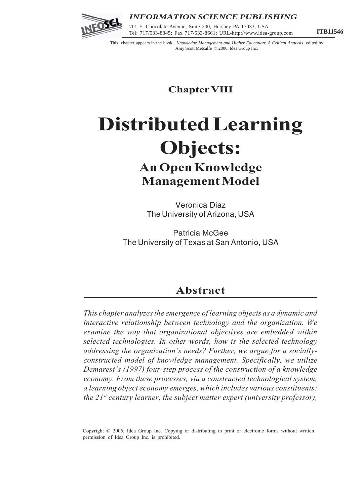

## *INFORMATION SCIENCE PUBLISHING*

Tel: 717/533-8845; Fax 717/533-8661; URL-http://www.idea-group.com **ITB11546** 701 E. Chocolate Avenue, Suite 200, Hershey PA 17033, USA

This chapter appears in the book, *Knowledge Management and Higher Education: A Critical Analysis* edited by Amy Scott Metcalfe © 2006, Idea Group Inc.

**Chapter VIII**

# **Distributed Learning Objects: An Open Knowledge Management Model**

Veronica Diaz The University of Arizona, USA

Patricia McGee The University of Texas at San Antonio, USA

# **Abstract**

*This chapter analyzes the emergence of learning objects as a dynamic and interactive relationship between technology and the organization. We examine the way that organizational objectives are embedded within selected technologies. In other words, how is the selected technology addressing the organization's needs? Further, we argue for a sociallyconstructed model of knowledge management. Specifically, we utilize Demarest's (1997) four-step process of the construction of a knowledge economy. From these processes, via a constructed technological system, a learning object economy emerges, which includes various constituents: the 21st century learner, the subject matter expert (university professor),*

Copyright © 2006, Idea Group Inc. Copying or distributing in print or electronic forms without written permission of Idea Group Inc. is prohibited.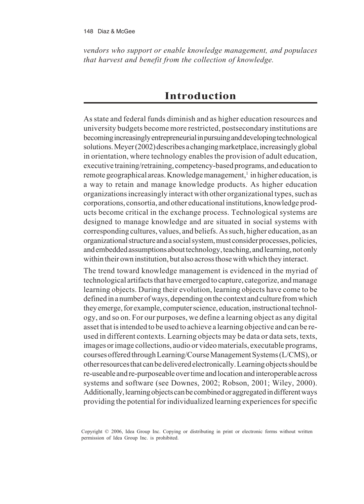*vendors who support or enable knowledge management, and populaces that harvest and benefit from the collection of knowledge.*

# **Introduction**

As state and federal funds diminish and as higher education resources and university budgets become more restricted, postsecondary institutions are becoming increasingly entrepreneurial in pursuing and developing technological solutions. Meyer (2002) describes a changing marketplace, increasingly global in orientation, where technology enables the provision of adult education, executive training/retraining, competency-based programs, and education to remote geographical areas. Knowledge management,<sup>1</sup> in higher education, is a way to retain and manage knowledge products. As higher education organizations increasingly interact with other organizational types, such as corporations, consortia, and other educational institutions, knowledge products become critical in the exchange process. Technological systems are designed to manage knowledge and are situated in social systems with corresponding cultures, values, and beliefs. As such, higher education, as an organizational structure and a social system, must consider processes, policies, and embedded assumptions about technology, teaching, and learning, not only within their own institution, but also across those with which they interact.

The trend toward knowledge management is evidenced in the myriad of technological artifacts that have emerged to capture, categorize, and manage learning objects. During their evolution, learning objects have come to be defined in a number of ways, depending on the context and culture from which they emerge, for example, computer science, education, instructional technology, and so on. For our purposes, we define a learning object as any digital asset that is intended to be used to achieve a learning objective and can be reused in different contexts. Learning objects may be data or data sets, texts, images or image collections, audio or video materials, executable programs, courses offered through Learning/Course Management Systems (L/CMS), or other resources that can be delivered electronically. Learning objects should be re-useable and re-purposeable over time and location and interoperable across systems and software (see Downes, 2002; Robson, 2001; Wiley, 2000). Additionally, learning objects can be combined or aggregated in different ways providing the potential for individualized learning experiences for specific

Copyright © 2006, Idea Group Inc. Copying or distributing in print or electronic forms without written permission of Idea Group Inc. is prohibited.